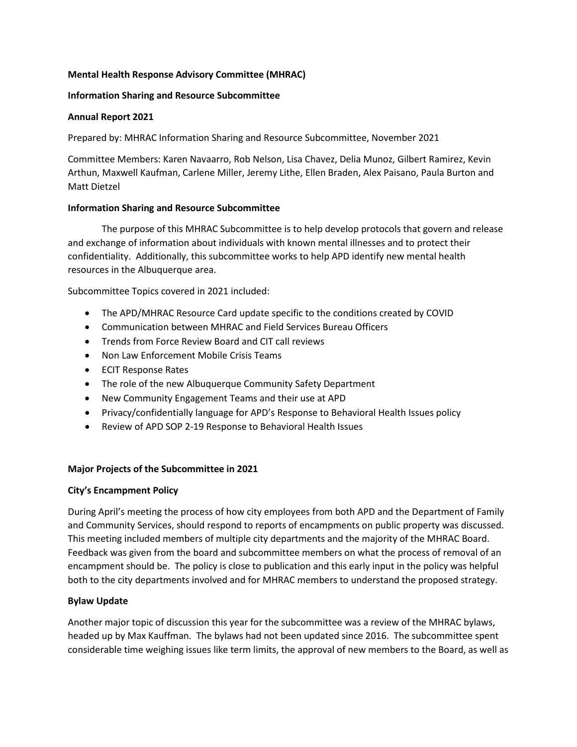# **Mental Health Response Advisory Committee (MHRAC)**

### **Information Sharing and Resource Subcommittee**

### **Annual Report 2021**

Prepared by: MHRAC Information Sharing and Resource Subcommittee, November 2021

Committee Members: Karen Navaarro, Rob Nelson, Lisa Chavez, Delia Munoz, Gilbert Ramirez, Kevin Arthun, Maxwell Kaufman, Carlene Miller, Jeremy Lithe, Ellen Braden, Alex Paisano, Paula Burton and Matt Dietzel

### **Information Sharing and Resource Subcommittee**

The purpose of this MHRAC Subcommittee is to help develop protocols that govern and release and exchange of information about individuals with known mental illnesses and to protect their confidentiality. Additionally, this subcommittee works to help APD identify new mental health resources in the Albuquerque area.

Subcommittee Topics covered in 2021 included:

- The APD/MHRAC Resource Card update specific to the conditions created by COVID
- Communication between MHRAC and Field Services Bureau Officers
- Trends from Force Review Board and CIT call reviews
- Non Law Enforcement Mobile Crisis Teams
- ECIT Response Rates
- The role of the new Albuquerque Community Safety Department
- New Community Engagement Teams and their use at APD
- Privacy/confidentially language for APD's Response to Behavioral Health Issues policy
- Review of APD SOP 2-19 Response to Behavioral Health Issues

### **Major Projects of the Subcommittee in 2021**

### **City's Encampment Policy**

During April's meeting the process of how city employees from both APD and the Department of Family and Community Services, should respond to reports of encampments on public property was discussed. This meeting included members of multiple city departments and the majority of the MHRAC Board. Feedback was given from the board and subcommittee members on what the process of removal of an encampment should be. The policy is close to publication and this early input in the policy was helpful both to the city departments involved and for MHRAC members to understand the proposed strategy.

### **Bylaw Update**

Another major topic of discussion this year for the subcommittee was a review of the MHRAC bylaws, headed up by Max Kauffman. The bylaws had not been updated since 2016. The subcommittee spent considerable time weighing issues like term limits, the approval of new members to the Board, as well as